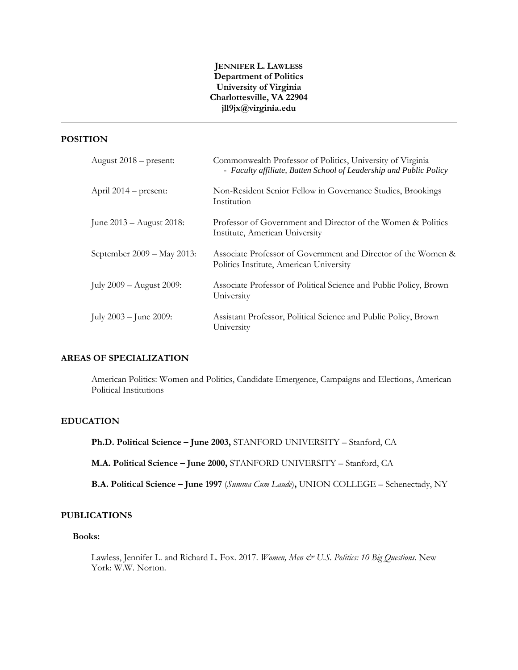# **JENNIFER L. LAWLESS Department of Politics University of Virginia Charlottesville, VA 22904 jll9jx@virginia.edu**

# **POSITION**

| August $2018$ – present:    | Commonwealth Professor of Politics, University of Virginia<br>- Faculty affiliate, Batten School of Leadership and Public Policy |
|-----------------------------|----------------------------------------------------------------------------------------------------------------------------------|
| April $2014$ – present:     | Non-Resident Senior Fellow in Governance Studies, Brookings<br>Institution                                                       |
| June $2013 -$ August 2018:  | Professor of Government and Director of the Women & Politics<br>Institute, American University                                   |
| September 2009 – May 2013:  | Associate Professor of Government and Director of the Women &<br>Politics Institute, American University                         |
| July 2009 – August 2009:    | Associate Professor of Political Science and Public Policy, Brown<br>University                                                  |
| July $2003 -$ June $2009$ : | Assistant Professor, Political Science and Public Policy, Brown<br>University                                                    |

# **AREAS OF SPECIALIZATION**

American Politics: Women and Politics, Candidate Emergence, Campaigns and Elections, American Political Institutions

# **EDUCATION**

**Ph.D. Political Science – June 2003,** STANFORD UNIVERSITY – Stanford, CA

**M.A. Political Science – June 2000,** STANFORD UNIVERSITY – Stanford, CA

**B.A. Political Science – June 1997** (*Summa Cum Laude*)**,** UNION COLLEGE – Schenectady, NY

# **PUBLICATIONS**

#### **Books:**

Lawless, Jennifer L. and Richard L. Fox. 2017. *Women, Men & U.S. Politics: 10 Big Questions.* New York: W.W. Norton.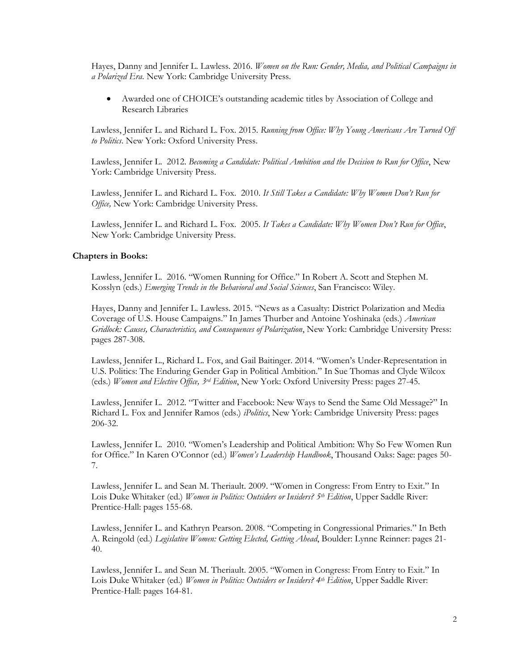Hayes, Danny and Jennifer L. Lawless. 2016. *Women on the Run: Gender, Media, and Political Campaigns in a Polarized Era*. New York: Cambridge University Press.

 Awarded one of CHOICE's outstanding academic titles by Association of College and Research Libraries

Lawless, Jennifer L. and Richard L. Fox. 2015. *Running from Office: Why Young Americans Are Turned Off to Politics*. New York: Oxford University Press.

Lawless, Jennifer L. 2012. *Becoming a Candidate: Political Ambition and the Decision to Run for Office*, New York: Cambridge University Press.

Lawless, Jennifer L. and Richard L. Fox. 2010. *It Still Takes a Candidate: Why Women Don't Run for Office,* New York: Cambridge University Press.

Lawless, Jennifer L. and Richard L. Fox. 2005. *It Takes a Candidate: Why Women Don't Run for Office*, New York: Cambridge University Press.

#### **Chapters in Books:**

Lawless, Jennifer L. 2016. "Women Running for Office." In Robert A. Scott and Stephen M. Kosslyn (eds.) *Emerging Trends in the Behavioral and Social Sciences*, San Francisco: Wiley.

Hayes, Danny and Jennifer L. Lawless. 2015. "News as a Casualty: District Polarization and Media Coverage of U.S. House Campaigns." In James Thurber and Antoine Yoshinaka (eds.) *American Gridlock: Causes, Characteristics, and Consequences of Polarization*, New York: Cambridge University Press: pages 287-308.

Lawless, Jennifer L., Richard L. Fox, and Gail Baitinger. 2014. "Women's Under-Representation in U.S. Politics: The Enduring Gender Gap in Political Ambition." In Sue Thomas and Clyde Wilcox (eds.) *Women and Elective Office, 3rd Edition*, New York: Oxford University Press: pages 27-45.

Lawless, Jennifer L. 2012. "Twitter and Facebook: New Ways to Send the Same Old Message?" In Richard L. Fox and Jennifer Ramos (eds.) *iPolitics*, New York: Cambridge University Press: pages 206-32.

Lawless, Jennifer L. 2010. "Women's Leadership and Political Ambition: Why So Few Women Run for Office." In Karen O'Connor (ed.) *Women's Leadership Handbook*, Thousand Oaks: Sage: pages 50- 7.

Lawless, Jennifer L. and Sean M. Theriault. 2009. "Women in Congress: From Entry to Exit." In Lois Duke Whitaker (ed.) *Women in Politics: Outsiders or Insiders? 5th Edition*, Upper Saddle River: Prentice-Hall: pages 155-68.

Lawless, Jennifer L. and Kathryn Pearson. 2008. "Competing in Congressional Primaries." In Beth A. Reingold (ed.) *Legislative Women: Getting Elected, Getting Ahead*, Boulder: Lynne Reinner: pages 21- 40.

Lawless, Jennifer L. and Sean M. Theriault. 2005. "Women in Congress: From Entry to Exit." In Lois Duke Whitaker (ed.) *Women in Politics: Outsiders or Insiders? 4th Edition*, Upper Saddle River: Prentice-Hall: pages 164-81.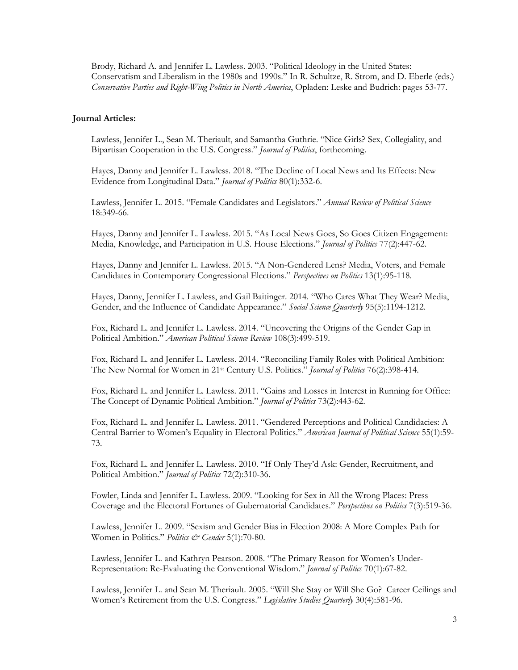Brody, Richard A. and Jennifer L. Lawless. 2003. "Political Ideology in the United States: Conservatism and Liberalism in the 1980s and 1990s." In R. Schultze, R. Strom, and D. Eberle (eds.) *Conservative Parties and Right-Wing Politics in North America*, Opladen: Leske and Budrich: pages 53-77.

#### **Journal Articles:**

Lawless, Jennifer L., Sean M. Theriault, and Samantha Guthrie. "Nice Girls? Sex, Collegiality, and Bipartisan Cooperation in the U.S. Congress." *Journal of Politics*, forthcoming.

Hayes, Danny and Jennifer L. Lawless. 2018. "The Decline of Local News and Its Effects: New Evidence from Longitudinal Data." *Journal of Politics* 80(1):332-6.

Lawless, Jennifer L. 2015. "Female Candidates and Legislators." *Annual Review of Political Science* 18:349-66.

Hayes, Danny and Jennifer L. Lawless. 2015. "As Local News Goes, So Goes Citizen Engagement: Media, Knowledge, and Participation in U.S. House Elections." *Journal of Politics* 77(2):447-62.

Hayes, Danny and Jennifer L. Lawless. 2015. "A Non-Gendered Lens? Media, Voters, and Female Candidates in Contemporary Congressional Elections." *Perspectives on Politics* 13(1):95-118.

Hayes, Danny, Jennifer L. Lawless, and Gail Baitinger. 2014. "Who Cares What They Wear? Media, Gender, and the Influence of Candidate Appearance." *Social Science Quarterly* 95(5):1194-1212.

Fox, Richard L. and Jennifer L. Lawless. 2014. "Uncovering the Origins of the Gender Gap in Political Ambition." *American Political Science Review* 108(3):499-519.

Fox, Richard L. and Jennifer L. Lawless. 2014. "Reconciling Family Roles with Political Ambition: The New Normal for Women in 21st Century U.S. Politics." *Journal of Politics* 76(2):398-414.

Fox, Richard L. and Jennifer L. Lawless. 2011. "Gains and Losses in Interest in Running for Office: The Concept of Dynamic Political Ambition." *Journal of Politics* 73(2):443-62.

Fox, Richard L. and Jennifer L. Lawless. 2011. "Gendered Perceptions and Political Candidacies: A Central Barrier to Women's Equality in Electoral Politics." *American Journal of Political Science* 55(1):59- 73.

Fox, Richard L. and Jennifer L. Lawless. 2010. "If Only They'd Ask: Gender, Recruitment, and Political Ambition." *Journal of Politics* 72(2):310-36.

Fowler, Linda and Jennifer L. Lawless. 2009. "Looking for Sex in All the Wrong Places: Press Coverage and the Electoral Fortunes of Gubernatorial Candidates." *Perspectives on Politics* 7(3):519-36.

Lawless, Jennifer L. 2009. "Sexism and Gender Bias in Election 2008: A More Complex Path for Women in Politics." *Politics & Gender* 5(1):70-80.

Lawless, Jennifer L. and Kathryn Pearson. 2008. "The Primary Reason for Women's Under-Representation: Re-Evaluating the Conventional Wisdom." *Journal of Politics* 70(1):67-82.

Lawless, Jennifer L. and Sean M. Theriault. 2005. "Will She Stay or Will She Go? Career Ceilings and Women's Retirement from the U.S. Congress." *Legislative Studies Quarterly* 30(4):581-96.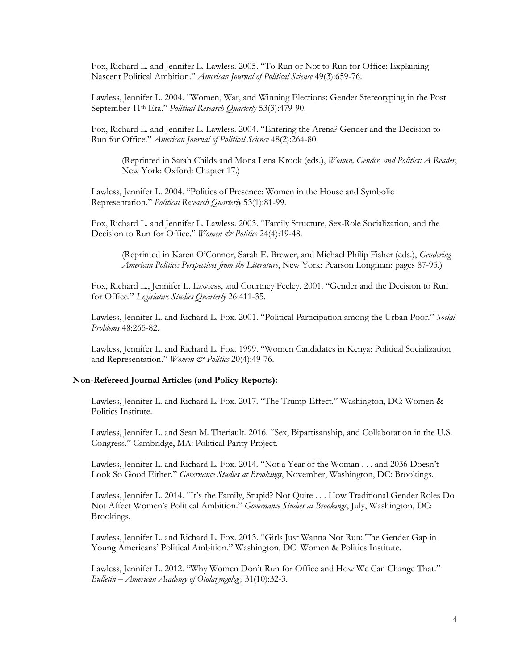Fox, Richard L. and Jennifer L. Lawless. 2005. "To Run or Not to Run for Office: Explaining Nascent Political Ambition." *American Journal of Political Science* 49(3):659-76.

Lawless, Jennifer L. 2004. "Women, War, and Winning Elections: Gender Stereotyping in the Post September 11th Era." *Political Research Quarterly* 53(3):479-90.

Fox, Richard L. and Jennifer L. Lawless. 2004. "Entering the Arena? Gender and the Decision to Run for Office." *American Journal of Political Science* 48(2):264-80.

(Reprinted in Sarah Childs and Mona Lena Krook (eds.), *Women, Gender, and Politics: A Reader*, New York: Oxford: Chapter 17.)

Lawless, Jennifer L. 2004. "Politics of Presence: Women in the House and Symbolic Representation." *Political Research Quarterly* 53(1):81-99.

Fox, Richard L. and Jennifer L. Lawless. 2003. "Family Structure, Sex-Role Socialization, and the Decision to Run for Office." *Women & Politics* 24(4):19-48.

(Reprinted in Karen O'Connor, Sarah E. Brewer, and Michael Philip Fisher (eds.), *Gendering American Politics: Perspectives from the Literature*, New York: Pearson Longman: pages 87-95.)

Fox, Richard L., Jennifer L. Lawless, and Courtney Feeley. 2001. "Gender and the Decision to Run for Office." *Legislative Studies Quarterly* 26:411-35.

Lawless, Jennifer L. and Richard L. Fox. 2001. "Political Participation among the Urban Poor." *Social Problems* 48:265-82.

Lawless, Jennifer L. and Richard L. Fox. 1999. "Women Candidates in Kenya: Political Socialization and Representation." *Women & Politics* 20(4):49-76.

#### **Non-Refereed Journal Articles (and Policy Reports):**

Lawless, Jennifer L. and Richard L. Fox. 2017. "The Trump Effect." Washington, DC: Women & Politics Institute.

Lawless, Jennifer L. and Sean M. Theriault. 2016. "Sex, Bipartisanship, and Collaboration in the U.S. Congress." Cambridge, MA: Political Parity Project.

Lawless, Jennifer L. and Richard L. Fox. 2014. "Not a Year of the Woman . . . and 2036 Doesn't Look So Good Either." *Governance Studies at Brookings*, November, Washington, DC: Brookings.

Lawless, Jennifer L. 2014. "It's the Family, Stupid? Not Quite . . . How Traditional Gender Roles Do Not Affect Women's Political Ambition." *Governance Studies at Brookings*, July, Washington, DC: Brookings.

Lawless, Jennifer L. and Richard L. Fox. 2013. "Girls Just Wanna Not Run: The Gender Gap in Young Americans' Political Ambition." Washington, DC: Women & Politics Institute.

Lawless, Jennifer L. 2012. "Why Women Don't Run for Office and How We Can Change That." *Bulletin – American Academy of Otolaryngology* 31(10):32-3.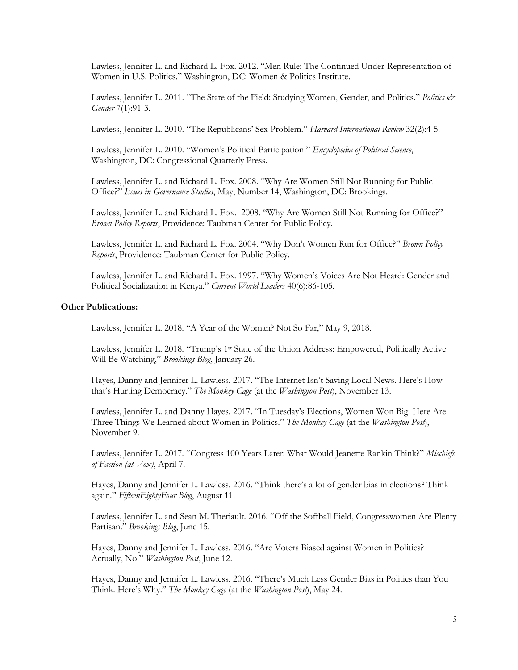Lawless, Jennifer L. and Richard L. Fox. 2012. "Men Rule: The Continued Under-Representation of Women in U.S. Politics." Washington, DC: Women & Politics Institute.

Lawless, Jennifer L. 2011. "The State of the Field: Studying Women, Gender, and Politics." *Politics & Gender* 7(1):91-3.

Lawless, Jennifer L. 2010. "The Republicans' Sex Problem." *Harvard International Review* 32(2):4-5.

Lawless, Jennifer L. 2010. "Women's Political Participation." *Encyclopedia of Political Science*, Washington, DC: Congressional Quarterly Press.

Lawless, Jennifer L. and Richard L. Fox. 2008. "Why Are Women Still Not Running for Public Office?" *Issues in Governance Studies*, May, Number 14, Washington, DC: Brookings.

Lawless, Jennifer L. and Richard L. Fox. 2008. "Why Are Women Still Not Running for Office?" *Brown Policy Reports*, Providence: Taubman Center for Public Policy.

Lawless, Jennifer L. and Richard L. Fox. 2004. "Why Don't Women Run for Office?" *Brown Policy Reports*, Providence: Taubman Center for Public Policy.

Lawless, Jennifer L. and Richard L. Fox. 1997. "Why Women's Voices Are Not Heard: Gender and Political Socialization in Kenya." *Current World Leaders* 40(6):86-105.

# **Other Publications:**

Lawless, Jennifer L. 2018. "A Year of the Woman? Not So Far," May 9, 2018.

Lawless, Jennifer L. 2018. "Trump's 1st State of the Union Address: Empowered, Politically Active Will Be Watching," *Brookings Blog*, January 26.

Hayes, Danny and Jennifer L. Lawless. 2017. "The Internet Isn't Saving Local News. Here's How that's Hurting Democracy." *The Monkey Cage* (at the *Washington Post*), November 13.

Lawless, Jennifer L. and Danny Hayes. 2017. "In Tuesday's Elections, Women Won Big. Here Are Three Things We Learned about Women in Politics." *The Monkey Cage* (at the *Washington Post*), November 9.

Lawless, Jennifer L. 2017. "Congress 100 Years Later: What Would Jeanette Rankin Think?" *Mischiefs of Faction (at Vox)*, April 7.

Hayes, Danny and Jennifer L. Lawless. 2016. "Think there's a lot of gender bias in elections? Think again." *FifteenEightyFour Blog*, August 11.

Lawless, Jennifer L. and Sean M. Theriault. 2016. "Off the Softball Field, Congresswomen Are Plenty Partisan." *Brookings Blog*, June 15.

Hayes, Danny and Jennifer L. Lawless. 2016. "Are Voters Biased against Women in Politics? Actually, No." *Washington Post*, June 12.

Hayes, Danny and Jennifer L. Lawless. 2016. "There's Much Less Gender Bias in Politics than You Think. Here's Why." *The Monkey Cage* (at the *Washington Post*), May 24.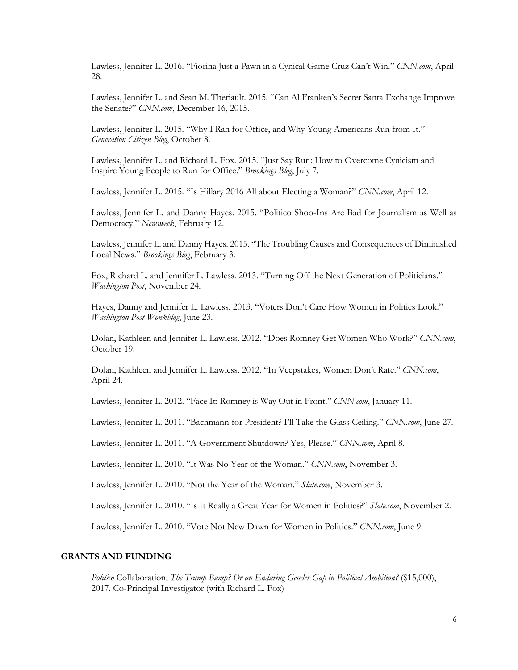Lawless, Jennifer L. 2016. "Fiorina Just a Pawn in a Cynical Game Cruz Can't Win." *CNN.com*, April 28.

Lawless, Jennifer L. and Sean M. Theriault. 2015. "Can Al Franken's Secret Santa Exchange Improve the Senate?" *CNN.com*, December 16, 2015.

Lawless, Jennifer L. 2015. "Why I Ran for Office, and Why Young Americans Run from It." *Generation Citizen Blog*, October 8.

Lawless, Jennifer L. and Richard L. Fox. 2015. "Just Say Run: How to Overcome Cynicism and Inspire Young People to Run for Office." *Brookings Blog*, July 7.

Lawless, Jennifer L. 2015. "Is Hillary 2016 All about Electing a Woman?" *CNN.com*, April 12.

Lawless, Jennifer L. and Danny Hayes. 2015. "Politico Shoo-Ins Are Bad for Journalism as Well as Democracy." *Newsweek*, February 12.

Lawless, Jennifer L. and Danny Hayes. 2015. "The Troubling Causes and Consequences of Diminished Local News." *Brookings Blog*, February 3.

Fox, Richard L. and Jennifer L. Lawless. 2013. "Turning Off the Next Generation of Politicians." *Washington Post*, November 24.

Hayes, Danny and Jennifer L. Lawless. 2013. "Voters Don't Care How Women in Politics Look." *Washington Post Wonkblog*, June 23.

Dolan, Kathleen and Jennifer L. Lawless. 2012. "Does Romney Get Women Who Work?" *CNN.com*, October 19.

Dolan, Kathleen and Jennifer L. Lawless. 2012. "In Veepstakes, Women Don't Rate." *CNN.com*, April 24.

Lawless, Jennifer L. 2012. "Face It: Romney is Way Out in Front." *CNN.com*, January 11.

Lawless, Jennifer L. 2011. "Bachmann for President? I'll Take the Glass Ceiling." *CNN.com*, June 27.

Lawless, Jennifer L. 2011. "A Government Shutdown? Yes, Please." *CNN.com*, April 8.

Lawless, Jennifer L. 2010. "It Was No Year of the Woman." *CNN.com*, November 3.

Lawless, Jennifer L. 2010. "Not the Year of the Woman." *Slate.com*, November 3.

Lawless, Jennifer L. 2010. "Is It Really a Great Year for Women in Politics?" *Slate.com*, November 2.

Lawless, Jennifer L. 2010. "Vote Not New Dawn for Women in Politics." *CNN.com*, June 9.

# **GRANTS AND FUNDING**

*Politico* Collaboration, *The Trump Bump? Or an Enduring Gender Gap in Political Ambition?* (\$15,000), 2017. Co-Principal Investigator (with Richard L. Fox)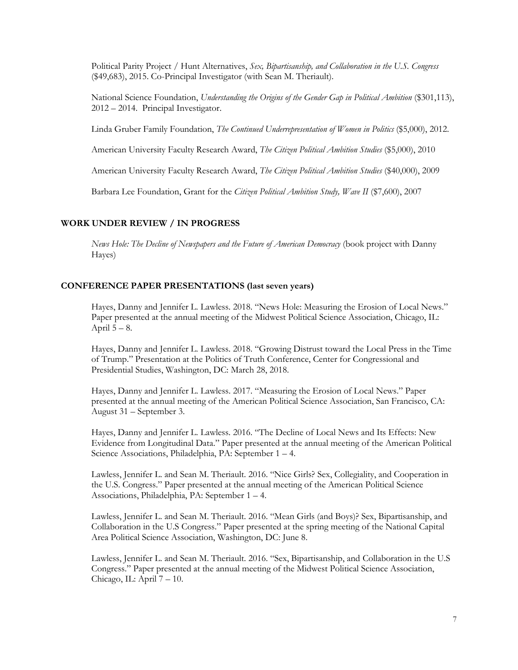Political Parity Project / Hunt Alternatives, *Sex, Bipartisanship, and Collaboration in the U.S. Congress* (\$49,683), 2015. Co-Principal Investigator (with Sean M. Theriault).

National Science Foundation, *Understanding the Origins of the Gender Gap in Political Ambition* (\$301,113), 2012 – 2014. Principal Investigator.

Linda Gruber Family Foundation, *The Continued Underrepresentation of Women in Politics* (\$5,000), 2012.

American University Faculty Research Award, *The Citizen Political Ambition Studies* (\$5,000), 2010

American University Faculty Research Award, *The Citizen Political Ambition Studies* (\$40,000), 2009

Barbara Lee Foundation, Grant for the *Citizen Political Ambition Study, Wave II* (\$7,600), 2007

# **WORK UNDER REVIEW / IN PROGRESS**

*News Hole: The Decline of Newspapers and the Future of American Democracy* (book project with Danny Hayes)

#### **CONFERENCE PAPER PRESENTATIONS (last seven years)**

Hayes, Danny and Jennifer L. Lawless. 2018. "News Hole: Measuring the Erosion of Local News." Paper presented at the annual meeting of the Midwest Political Science Association, Chicago, IL: April  $5 - 8$ .

Hayes, Danny and Jennifer L. Lawless. 2018. "Growing Distrust toward the Local Press in the Time of Trump." Presentation at the Politics of Truth Conference, Center for Congressional and Presidential Studies, Washington, DC: March 28, 2018.

Hayes, Danny and Jennifer L. Lawless. 2017. "Measuring the Erosion of Local News." Paper presented at the annual meeting of the American Political Science Association, San Francisco, CA: August 31 – September 3.

Hayes, Danny and Jennifer L. Lawless. 2016. "The Decline of Local News and Its Effects: New Evidence from Longitudinal Data." Paper presented at the annual meeting of the American Political Science Associations, Philadelphia, PA: September 1 – 4.

Lawless, Jennifer L. and Sean M. Theriault. 2016. "Nice Girls? Sex, Collegiality, and Cooperation in the U.S. Congress." Paper presented at the annual meeting of the American Political Science Associations, Philadelphia, PA: September 1 – 4.

Lawless, Jennifer L. and Sean M. Theriault. 2016. "Mean Girls (and Boys)? Sex, Bipartisanship, and Collaboration in the U.S Congress." Paper presented at the spring meeting of the National Capital Area Political Science Association, Washington, DC: June 8.

Lawless, Jennifer L. and Sean M. Theriault. 2016. "Sex, Bipartisanship, and Collaboration in the U.S Congress." Paper presented at the annual meeting of the Midwest Political Science Association, Chicago, IL: April  $7 - 10$ .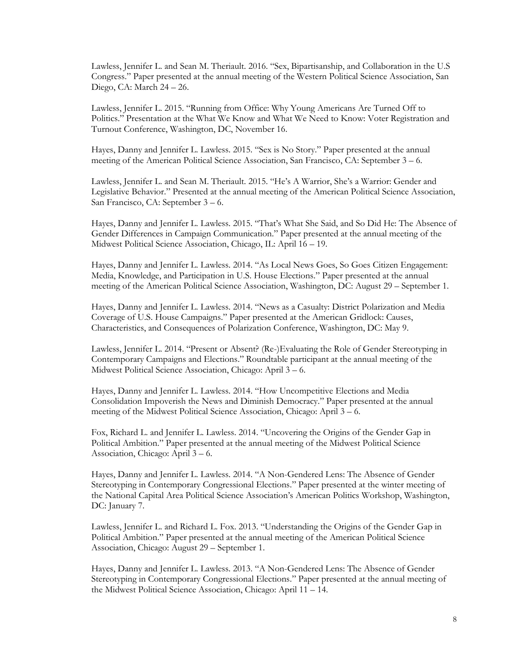Lawless, Jennifer L. and Sean M. Theriault. 2016. "Sex, Bipartisanship, and Collaboration in the U.S Congress." Paper presented at the annual meeting of the Western Political Science Association, San Diego, CA: March 24 – 26.

Lawless, Jennifer L. 2015. "Running from Office: Why Young Americans Are Turned Off to Politics." Presentation at the What We Know and What We Need to Know: Voter Registration and Turnout Conference, Washington, DC, November 16.

Hayes, Danny and Jennifer L. Lawless. 2015. "Sex is No Story." Paper presented at the annual meeting of the American Political Science Association, San Francisco, CA: September 3 – 6.

Lawless, Jennifer L. and Sean M. Theriault. 2015. "He's A Warrior, She's a Warrior: Gender and Legislative Behavior." Presented at the annual meeting of the American Political Science Association, San Francisco, CA: September 3 – 6.

Hayes, Danny and Jennifer L. Lawless. 2015. "That's What She Said, and So Did He: The Absence of Gender Differences in Campaign Communication." Paper presented at the annual meeting of the Midwest Political Science Association, Chicago, IL: April 16 – 19.

Hayes, Danny and Jennifer L. Lawless. 2014. "As Local News Goes, So Goes Citizen Engagement: Media, Knowledge, and Participation in U.S. House Elections." Paper presented at the annual meeting of the American Political Science Association, Washington, DC: August 29 – September 1.

Hayes, Danny and Jennifer L. Lawless. 2014. "News as a Casualty: District Polarization and Media Coverage of U.S. House Campaigns." Paper presented at the American Gridlock: Causes, Characteristics, and Consequences of Polarization Conference, Washington, DC: May 9.

Lawless, Jennifer L. 2014. "Present or Absent? (Re-)Evaluating the Role of Gender Stereotyping in Contemporary Campaigns and Elections." Roundtable participant at the annual meeting of the Midwest Political Science Association, Chicago: April 3 – 6.

Hayes, Danny and Jennifer L. Lawless. 2014. "How Uncompetitive Elections and Media Consolidation Impoverish the News and Diminish Democracy." Paper presented at the annual meeting of the Midwest Political Science Association, Chicago: April 3 – 6.

Fox, Richard L. and Jennifer L. Lawless. 2014. "Uncovering the Origins of the Gender Gap in Political Ambition." Paper presented at the annual meeting of the Midwest Political Science Association, Chicago: April 3 – 6.

Hayes, Danny and Jennifer L. Lawless. 2014. "A Non-Gendered Lens: The Absence of Gender Stereotyping in Contemporary Congressional Elections." Paper presented at the winter meeting of the National Capital Area Political Science Association's American Politics Workshop, Washington, DC: January 7.

Lawless, Jennifer L. and Richard L. Fox. 2013. "Understanding the Origins of the Gender Gap in Political Ambition." Paper presented at the annual meeting of the American Political Science Association, Chicago: August 29 – September 1.

Hayes, Danny and Jennifer L. Lawless. 2013. "A Non-Gendered Lens: The Absence of Gender Stereotyping in Contemporary Congressional Elections." Paper presented at the annual meeting of the Midwest Political Science Association, Chicago: April 11 – 14.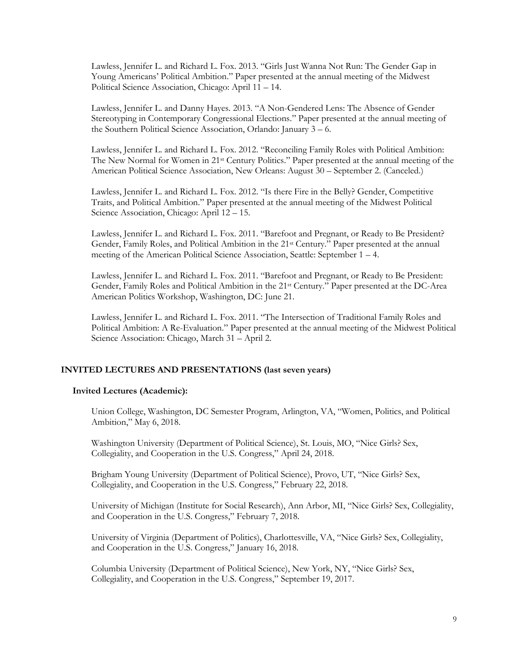Lawless, Jennifer L. and Richard L. Fox. 2013. "Girls Just Wanna Not Run: The Gender Gap in Young Americans' Political Ambition." Paper presented at the annual meeting of the Midwest Political Science Association, Chicago: April 11 – 14.

Lawless, Jennifer L. and Danny Hayes. 2013. "A Non-Gendered Lens: The Absence of Gender Stereotyping in Contemporary Congressional Elections." Paper presented at the annual meeting of the Southern Political Science Association, Orlando: January 3 – 6.

Lawless, Jennifer L. and Richard L. Fox. 2012. "Reconciling Family Roles with Political Ambition: The New Normal for Women in 21st Century Politics." Paper presented at the annual meeting of the American Political Science Association, New Orleans: August 30 – September 2. (Canceled.)

Lawless, Jennifer L. and Richard L. Fox. 2012. "Is there Fire in the Belly? Gender, Competitive Traits, and Political Ambition." Paper presented at the annual meeting of the Midwest Political Science Association, Chicago: April 12 – 15.

Lawless, Jennifer L. and Richard L. Fox. 2011. "Barefoot and Pregnant, or Ready to Be President? Gender, Family Roles, and Political Ambition in the 21st Century." Paper presented at the annual meeting of the American Political Science Association, Seattle: September 1 – 4.

Lawless, Jennifer L. and Richard L. Fox. 2011. "Barefoot and Pregnant, or Ready to Be President: Gender, Family Roles and Political Ambition in the 21st Century." Paper presented at the DC-Area American Politics Workshop, Washington, DC: June 21.

Lawless, Jennifer L. and Richard L. Fox. 2011. "The Intersection of Traditional Family Roles and Political Ambition: A Re-Evaluation." Paper presented at the annual meeting of the Midwest Political Science Association: Chicago, March 31 – April 2.

# **INVITED LECTURES AND PRESENTATIONS (last seven years)**

#### **Invited Lectures (Academic):**

Union College, Washington, DC Semester Program, Arlington, VA, "Women, Politics, and Political Ambition," May 6, 2018.

Washington University (Department of Political Science), St. Louis, MO, "Nice Girls? Sex, Collegiality, and Cooperation in the U.S. Congress," April 24, 2018.

Brigham Young University (Department of Political Science), Provo, UT, "Nice Girls? Sex, Collegiality, and Cooperation in the U.S. Congress," February 22, 2018.

University of Michigan (Institute for Social Research), Ann Arbor, MI, "Nice Girls? Sex, Collegiality, and Cooperation in the U.S. Congress," February 7, 2018.

University of Virginia (Department of Politics), Charlottesville, VA, "Nice Girls? Sex, Collegiality, and Cooperation in the U.S. Congress," January 16, 2018.

Columbia University (Department of Political Science), New York, NY, "Nice Girls? Sex, Collegiality, and Cooperation in the U.S. Congress," September 19, 2017.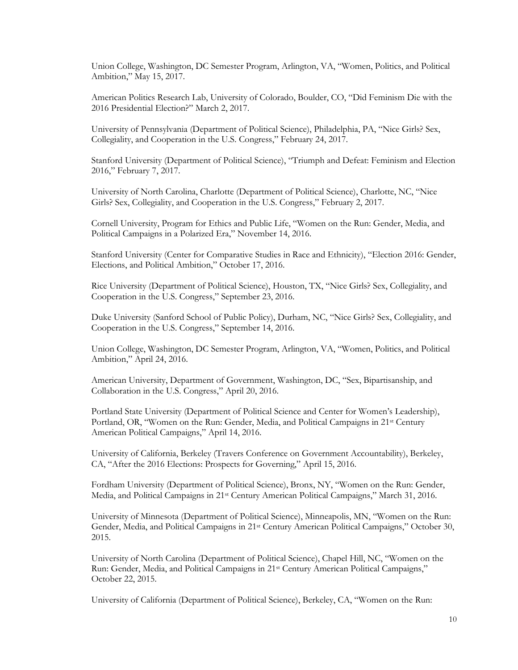Union College, Washington, DC Semester Program, Arlington, VA, "Women, Politics, and Political Ambition," May 15, 2017.

American Politics Research Lab, University of Colorado, Boulder, CO, "Did Feminism Die with the 2016 Presidential Election?" March 2, 2017.

University of Pennsylvania (Department of Political Science), Philadelphia, PA, "Nice Girls? Sex, Collegiality, and Cooperation in the U.S. Congress," February 24, 2017.

Stanford University (Department of Political Science), "Triumph and Defeat: Feminism and Election 2016," February 7, 2017.

University of North Carolina, Charlotte (Department of Political Science), Charlotte, NC, "Nice Girls? Sex, Collegiality, and Cooperation in the U.S. Congress," February 2, 2017.

Cornell University, Program for Ethics and Public Life, "Women on the Run: Gender, Media, and Political Campaigns in a Polarized Era," November 14, 2016.

Stanford University (Center for Comparative Studies in Race and Ethnicity), "Election 2016: Gender, Elections, and Political Ambition," October 17, 2016.

Rice University (Department of Political Science), Houston, TX, "Nice Girls? Sex, Collegiality, and Cooperation in the U.S. Congress," September 23, 2016.

Duke University (Sanford School of Public Policy), Durham, NC, "Nice Girls? Sex, Collegiality, and Cooperation in the U.S. Congress," September 14, 2016.

Union College, Washington, DC Semester Program, Arlington, VA, "Women, Politics, and Political Ambition," April 24, 2016.

American University, Department of Government, Washington, DC, "Sex, Bipartisanship, and Collaboration in the U.S. Congress," April 20, 2016.

Portland State University (Department of Political Science and Center for Women's Leadership), Portland, OR, "Women on the Run: Gender, Media, and Political Campaigns in 21<sup>st</sup> Century American Political Campaigns," April 14, 2016.

University of California, Berkeley (Travers Conference on Government Accountability), Berkeley, CA, "After the 2016 Elections: Prospects for Governing," April 15, 2016.

Fordham University (Department of Political Science), Bronx, NY, "Women on the Run: Gender, Media, and Political Campaigns in 21st Century American Political Campaigns," March 31, 2016.

University of Minnesota (Department of Political Science), Minneapolis, MN, "Women on the Run: Gender, Media, and Political Campaigns in 21st Century American Political Campaigns," October 30, 2015.

University of North Carolina (Department of Political Science), Chapel Hill, NC, "Women on the Run: Gender, Media, and Political Campaigns in 21st Century American Political Campaigns," October 22, 2015.

University of California (Department of Political Science), Berkeley, CA, "Women on the Run: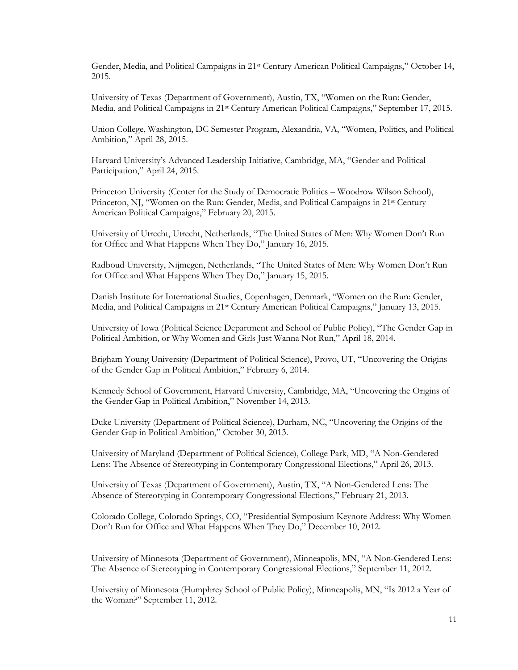Gender, Media, and Political Campaigns in 21st Century American Political Campaigns," October 14, 2015.

University of Texas (Department of Government), Austin, TX, "Women on the Run: Gender, Media, and Political Campaigns in 21st Century American Political Campaigns," September 17, 2015.

Union College, Washington, DC Semester Program, Alexandria, VA, "Women, Politics, and Political Ambition," April 28, 2015.

Harvard University's Advanced Leadership Initiative, Cambridge, MA, "Gender and Political Participation," April 24, 2015.

Princeton University (Center for the Study of Democratic Politics – Woodrow Wilson School), Princeton, NJ, "Women on the Run: Gender, Media, and Political Campaigns in 21<sup>st</sup> Century American Political Campaigns," February 20, 2015.

University of Utrecht, Utrecht, Netherlands, "The United States of Men: Why Women Don't Run for Office and What Happens When They Do," January 16, 2015.

Radboud University, Nijmegen, Netherlands, "The United States of Men: Why Women Don't Run for Office and What Happens When They Do," January 15, 2015.

Danish Institute for International Studies, Copenhagen, Denmark, "Women on the Run: Gender, Media, and Political Campaigns in 21st Century American Political Campaigns," January 13, 2015.

University of Iowa (Political Science Department and School of Public Policy), "The Gender Gap in Political Ambition, or Why Women and Girls Just Wanna Not Run," April 18, 2014.

Brigham Young University (Department of Political Science), Provo, UT, "Uncovering the Origins of the Gender Gap in Political Ambition," February 6, 2014.

Kennedy School of Government, Harvard University, Cambridge, MA, "Uncovering the Origins of the Gender Gap in Political Ambition," November 14, 2013.

Duke University (Department of Political Science), Durham, NC, "Uncovering the Origins of the Gender Gap in Political Ambition," October 30, 2013.

University of Maryland (Department of Political Science), College Park, MD, "A Non-Gendered Lens: The Absence of Stereotyping in Contemporary Congressional Elections," April 26, 2013.

University of Texas (Department of Government), Austin, TX, "A Non-Gendered Lens: The Absence of Stereotyping in Contemporary Congressional Elections," February 21, 2013.

Colorado College, Colorado Springs, CO, "Presidential Symposium Keynote Address: Why Women Don't Run for Office and What Happens When They Do," December 10, 2012.

University of Minnesota (Department of Government), Minneapolis, MN, "A Non-Gendered Lens: The Absence of Stereotyping in Contemporary Congressional Elections," September 11, 2012.

University of Minnesota (Humphrey School of Public Policy), Minneapolis, MN, "Is 2012 a Year of the Woman?" September 11, 2012.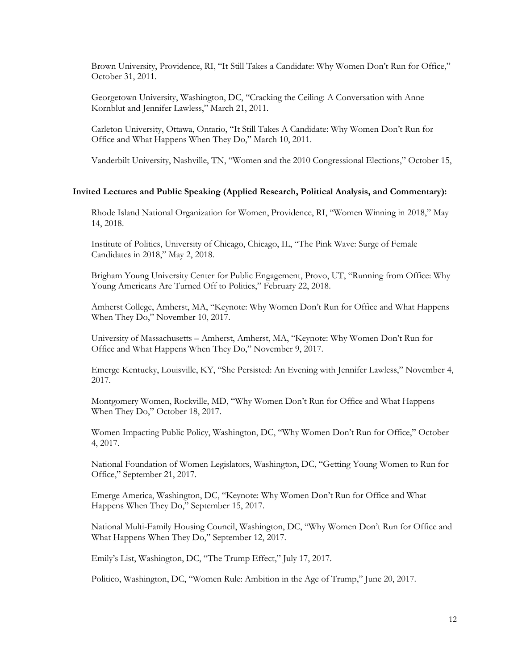Brown University, Providence, RI, "It Still Takes a Candidate: Why Women Don't Run for Office," October 31, 2011.

Georgetown University, Washington, DC, "Cracking the Ceiling: A Conversation with Anne Kornblut and Jennifer Lawless," March 21, 2011.

Carleton University, Ottawa, Ontario, "It Still Takes A Candidate: Why Women Don't Run for Office and What Happens When They Do," March 10, 2011.

Vanderbilt University, Nashville, TN, "Women and the 2010 Congressional Elections," October 15,

#### **Invited Lectures and Public Speaking (Applied Research, Political Analysis, and Commentary):**

Rhode Island National Organization for Women, Providence, RI, "Women Winning in 2018," May 14, 2018.

Institute of Politics, University of Chicago, Chicago, IL, "The Pink Wave: Surge of Female Candidates in 2018," May 2, 2018.

Brigham Young University Center for Public Engagement, Provo, UT, "Running from Office: Why Young Americans Are Turned Off to Politics," February 22, 2018.

Amherst College, Amherst, MA, "Keynote: Why Women Don't Run for Office and What Happens When They Do," November 10, 2017.

University of Massachusetts – Amherst, Amherst, MA, "Keynote: Why Women Don't Run for Office and What Happens When They Do," November 9, 2017.

Emerge Kentucky, Louisville, KY, "She Persisted: An Evening with Jennifer Lawless," November 4, 2017.

Montgomery Women, Rockville, MD, "Why Women Don't Run for Office and What Happens When They Do," October 18, 2017.

Women Impacting Public Policy, Washington, DC, "Why Women Don't Run for Office," October 4, 2017.

National Foundation of Women Legislators, Washington, DC, "Getting Young Women to Run for Office," September 21, 2017.

Emerge America, Washington, DC, "Keynote: Why Women Don't Run for Office and What Happens When They Do," September 15, 2017.

National Multi-Family Housing Council, Washington, DC, "Why Women Don't Run for Office and What Happens When They Do," September 12, 2017.

Emily's List, Washington, DC, "The Trump Effect," July 17, 2017.

Politico, Washington, DC, "Women Rule: Ambition in the Age of Trump," June 20, 2017.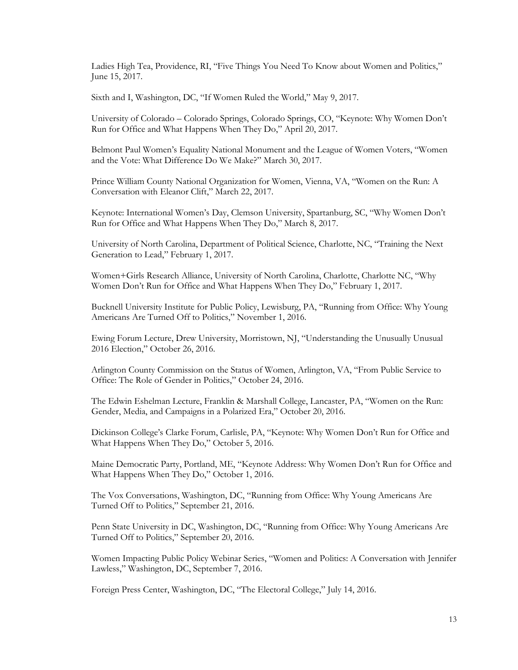Ladies High Tea, Providence, RI, "Five Things You Need To Know about Women and Politics," June 15, 2017.

Sixth and I, Washington, DC, "If Women Ruled the World," May 9, 2017.

University of Colorado – Colorado Springs, Colorado Springs, CO, "Keynote: Why Women Don't Run for Office and What Happens When They Do," April 20, 2017.

Belmont Paul Women's Equality National Monument and the League of Women Voters, "Women and the Vote: What Difference Do We Make?" March 30, 2017.

Prince William County National Organization for Women, Vienna, VA, "Women on the Run: A Conversation with Eleanor Clift," March 22, 2017.

Keynote: International Women's Day, Clemson University, Spartanburg, SC, "Why Women Don't Run for Office and What Happens When They Do," March 8, 2017.

University of North Carolina, Department of Political Science, Charlotte, NC, "Training the Next Generation to Lead," February 1, 2017.

Women+Girls Research Alliance, University of North Carolina, Charlotte, Charlotte NC, "Why Women Don't Run for Office and What Happens When They Do," February 1, 2017.

Bucknell University Institute for Public Policy, Lewisburg, PA, "Running from Office: Why Young Americans Are Turned Off to Politics," November 1, 2016.

Ewing Forum Lecture, Drew University, Morristown, NJ, "Understanding the Unusually Unusual 2016 Election," October 26, 2016.

Arlington County Commission on the Status of Women, Arlington, VA, "From Public Service to Office: The Role of Gender in Politics," October 24, 2016.

The Edwin Eshelman Lecture, Franklin & Marshall College, Lancaster, PA, "Women on the Run: Gender, Media, and Campaigns in a Polarized Era," October 20, 2016.

Dickinson College's Clarke Forum, Carlisle, PA, "Keynote: Why Women Don't Run for Office and What Happens When They Do," October 5, 2016.

Maine Democratic Party, Portland, ME, "Keynote Address: Why Women Don't Run for Office and What Happens When They Do," October 1, 2016.

The Vox Conversations, Washington, DC, "Running from Office: Why Young Americans Are Turned Off to Politics," September 21, 2016.

Penn State University in DC, Washington, DC, "Running from Office: Why Young Americans Are Turned Off to Politics," September 20, 2016.

Women Impacting Public Policy Webinar Series, "Women and Politics: A Conversation with Jennifer Lawless," Washington, DC, September 7, 2016.

Foreign Press Center, Washington, DC, "The Electoral College," July 14, 2016.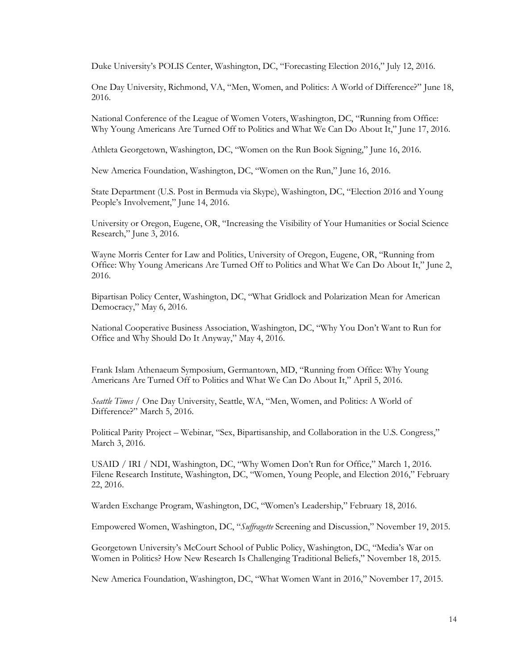Duke University's POLIS Center, Washington, DC, "Forecasting Election 2016," July 12, 2016.

One Day University, Richmond, VA, "Men, Women, and Politics: A World of Difference?" June 18, 2016.

National Conference of the League of Women Voters, Washington, DC, "Running from Office: Why Young Americans Are Turned Off to Politics and What We Can Do About It," June 17, 2016.

Athleta Georgetown, Washington, DC, "Women on the Run Book Signing," June 16, 2016.

New America Foundation, Washington, DC, "Women on the Run," June 16, 2016.

State Department (U.S. Post in Bermuda via Skype), Washington, DC, "Election 2016 and Young People's Involvement," June 14, 2016.

University or Oregon, Eugene, OR, "Increasing the Visibility of Your Humanities or Social Science Research," June 3, 2016.

Wayne Morris Center for Law and Politics, University of Oregon, Eugene, OR, "Running from Office: Why Young Americans Are Turned Off to Politics and What We Can Do About It," June 2, 2016.

Bipartisan Policy Center, Washington, DC, "What Gridlock and Polarization Mean for American Democracy," May 6, 2016.

National Cooperative Business Association, Washington, DC, "Why You Don't Want to Run for Office and Why Should Do It Anyway," May 4, 2016.

Frank Islam Athenaeum Symposium, Germantown, MD, "Running from Office: Why Young Americans Are Turned Off to Politics and What We Can Do About It," April 5, 2016.

*Seattle Times* / One Day University, Seattle, WA, "Men, Women, and Politics: A World of Difference?" March 5, 2016.

Political Parity Project – Webinar, "Sex, Bipartisanship, and Collaboration in the U.S. Congress," March 3, 2016.

USAID / IRI / NDI, Washington, DC, "Why Women Don't Run for Office," March 1, 2016. Filene Research Institute, Washington, DC, "Women, Young People, and Election 2016," February 22, 2016.

Warden Exchange Program, Washington, DC, "Women's Leadership," February 18, 2016.

Empowered Women, Washington, DC, "*Suffragette* Screening and Discussion," November 19, 2015.

Georgetown University's McCourt School of Public Policy, Washington, DC, "Media's War on Women in Politics? How New Research Is Challenging Traditional Beliefs," November 18, 2015.

New America Foundation, Washington, DC, "What Women Want in 2016," November 17, 2015.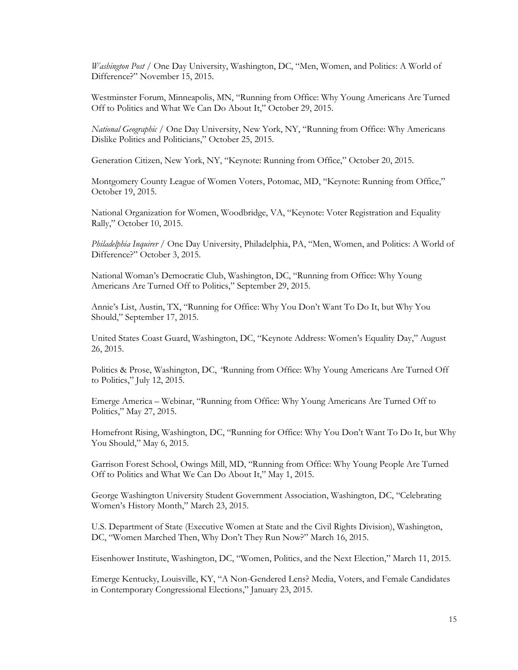*Washington Post* / One Day University, Washington, DC, "Men, Women, and Politics: A World of Difference?" November 15, 2015.

Westminster Forum, Minneapolis, MN, "Running from Office: Why Young Americans Are Turned Off to Politics and What We Can Do About It," October 29, 2015.

*National Geographic* / One Day University, New York, NY, "Running from Office: Why Americans Dislike Politics and Politicians," October 25, 2015.

Generation Citizen, New York, NY, "Keynote: Running from Office," October 20, 2015.

Montgomery County League of Women Voters, Potomac, MD, "Keynote: Running from Office," October 19, 2015.

National Organization for Women, Woodbridge, VA, "Keynote: Voter Registration and Equality Rally," October 10, 2015.

*Philadelphia Inquirer* / One Day University, Philadelphia, PA, "Men, Women, and Politics: A World of Difference?" October 3, 2015.

National Woman's Democratic Club, Washington, DC, "Running from Office: Why Young Americans Are Turned Off to Politics," September 29, 2015.

Annie's List, Austin, TX, "Running for Office: Why You Don't Want To Do It, but Why You Should," September 17, 2015.

United States Coast Guard, Washington, DC, "Keynote Address: Women's Equality Day," August 26, 2015.

Politics & Prose, Washington, DC, *"*Running from Office: Why Young Americans Are Turned Off to Politics," July 12, 2015.

Emerge America – Webinar, "Running from Office: Why Young Americans Are Turned Off to Politics," May 27, 2015.

Homefront Rising, Washington, DC, "Running for Office: Why You Don't Want To Do It, but Why You Should," May 6, 2015.

Garrison Forest School, Owings Mill, MD, "Running from Office: Why Young People Are Turned Off to Politics and What We Can Do About It," May 1, 2015.

George Washington University Student Government Association, Washington, DC, "Celebrating Women's History Month," March 23, 2015.

U.S. Department of State (Executive Women at State and the Civil Rights Division), Washington, DC, "Women Marched Then, Why Don't They Run Now?" March 16, 2015.

Eisenhower Institute, Washington, DC, "Women, Politics, and the Next Election," March 11, 2015.

Emerge Kentucky, Louisville, KY, "A Non-Gendered Lens? Media, Voters, and Female Candidates in Contemporary Congressional Elections," January 23, 2015.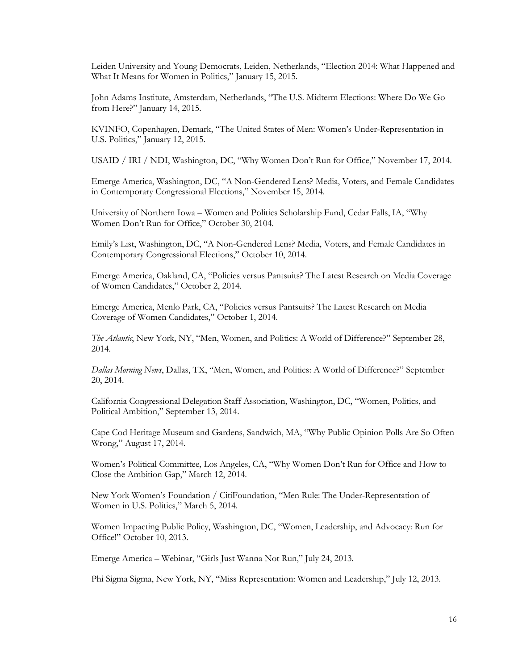Leiden University and Young Democrats, Leiden, Netherlands, "Election 2014: What Happened and What It Means for Women in Politics," January 15, 2015.

John Adams Institute, Amsterdam, Netherlands, "The U.S. Midterm Elections: Where Do We Go from Here?" January 14, 2015.

KVINFO, Copenhagen, Demark, "The United States of Men: Women's Under-Representation in U.S. Politics," January 12, 2015.

USAID / IRI / NDI, Washington, DC, "Why Women Don't Run for Office," November 17, 2014.

Emerge America, Washington, DC, "A Non-Gendered Lens? Media, Voters, and Female Candidates in Contemporary Congressional Elections," November 15, 2014.

University of Northern Iowa – Women and Politics Scholarship Fund, Cedar Falls, IA, "Why Women Don't Run for Office," October 30, 2104.

Emily's List, Washington, DC, "A Non-Gendered Lens? Media, Voters, and Female Candidates in Contemporary Congressional Elections," October 10, 2014.

Emerge America, Oakland, CA, "Policies versus Pantsuits? The Latest Research on Media Coverage of Women Candidates," October 2, 2014.

Emerge America, Menlo Park, CA, "Policies versus Pantsuits? The Latest Research on Media Coverage of Women Candidates," October 1, 2014.

*The Atlantic*, New York, NY, "Men, Women, and Politics: A World of Difference?" September 28, 2014.

*Dallas Morning News*, Dallas, TX, "Men, Women, and Politics: A World of Difference?" September 20, 2014.

California Congressional Delegation Staff Association, Washington, DC, "Women, Politics, and Political Ambition," September 13, 2014.

Cape Cod Heritage Museum and Gardens, Sandwich, MA, "Why Public Opinion Polls Are So Often Wrong," August 17, 2014.

Women's Political Committee, Los Angeles, CA, "Why Women Don't Run for Office and How to Close the Ambition Gap," March 12, 2014.

New York Women's Foundation / CitiFoundation, "Men Rule: The Under-Representation of Women in U.S. Politics," March 5, 2014.

Women Impacting Public Policy, Washington, DC, "Women, Leadership, and Advocacy: Run for Office!" October 10, 2013.

Emerge America – Webinar, "Girls Just Wanna Not Run," July 24, 2013.

Phi Sigma Sigma, New York, NY, "Miss Representation: Women and Leadership," July 12, 2013.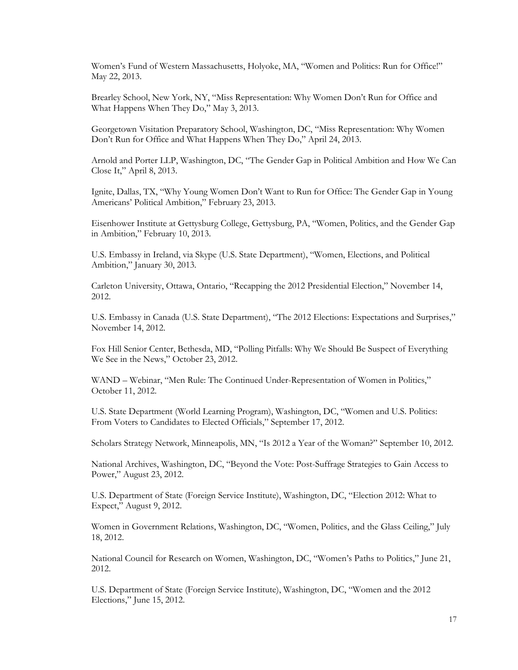Women's Fund of Western Massachusetts, Holyoke, MA, "Women and Politics: Run for Office!" May 22, 2013.

Brearley School, New York, NY, "Miss Representation: Why Women Don't Run for Office and What Happens When They Do," May 3, 2013.

Georgetown Visitation Preparatory School, Washington, DC, "Miss Representation: Why Women Don't Run for Office and What Happens When They Do," April 24, 2013.

Arnold and Porter LLP, Washington, DC, "The Gender Gap in Political Ambition and How We Can Close It," April 8, 2013.

Ignite, Dallas, TX, "Why Young Women Don't Want to Run for Office: The Gender Gap in Young Americans' Political Ambition," February 23, 2013.

Eisenhower Institute at Gettysburg College, Gettysburg, PA, "Women, Politics, and the Gender Gap in Ambition," February 10, 2013.

U.S. Embassy in Ireland, via Skype (U.S. State Department), "Women, Elections, and Political Ambition," January 30, 2013.

Carleton University, Ottawa, Ontario, "Recapping the 2012 Presidential Election," November 14, 2012.

U.S. Embassy in Canada (U.S. State Department), "The 2012 Elections: Expectations and Surprises," November 14, 2012.

Fox Hill Senior Center, Bethesda, MD, "Polling Pitfalls: Why We Should Be Suspect of Everything We See in the News," October 23, 2012.

WAND – Webinar, "Men Rule: The Continued Under-Representation of Women in Politics," October 11, 2012.

U.S. State Department (World Learning Program), Washington, DC, "Women and U.S. Politics: From Voters to Candidates to Elected Officials," September 17, 2012.

Scholars Strategy Network, Minneapolis, MN, "Is 2012 a Year of the Woman?" September 10, 2012.

National Archives, Washington, DC, "Beyond the Vote: Post-Suffrage Strategies to Gain Access to Power," August 23, 2012.

U.S. Department of State (Foreign Service Institute), Washington, DC, "Election 2012: What to Expect," August 9, 2012.

Women in Government Relations, Washington, DC, "Women, Politics, and the Glass Ceiling," July 18, 2012.

National Council for Research on Women, Washington, DC, "Women's Paths to Politics," June 21, 2012.

U.S. Department of State (Foreign Service Institute), Washington, DC, "Women and the 2012 Elections," June 15, 2012.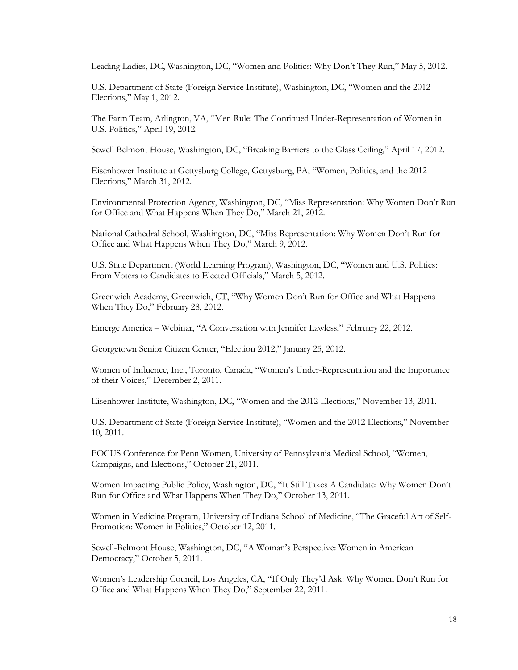Leading Ladies, DC, Washington, DC, "Women and Politics: Why Don't They Run," May 5, 2012.

U.S. Department of State (Foreign Service Institute), Washington, DC, "Women and the 2012 Elections," May 1, 2012.

The Farm Team, Arlington, VA, "Men Rule: The Continued Under-Representation of Women in U.S. Politics," April 19, 2012.

Sewell Belmont House, Washington, DC, "Breaking Barriers to the Glass Ceiling," April 17, 2012.

Eisenhower Institute at Gettysburg College, Gettysburg, PA, "Women, Politics, and the 2012 Elections," March 31, 2012.

Environmental Protection Agency, Washington, DC, "Miss Representation: Why Women Don't Run for Office and What Happens When They Do," March 21, 2012.

National Cathedral School, Washington, DC, "Miss Representation: Why Women Don't Run for Office and What Happens When They Do," March 9, 2012.

U.S. State Department (World Learning Program), Washington, DC, "Women and U.S. Politics: From Voters to Candidates to Elected Officials," March 5, 2012.

Greenwich Academy, Greenwich, CT, "Why Women Don't Run for Office and What Happens When They Do," February 28, 2012.

Emerge America – Webinar, "A Conversation with Jennifer Lawless," February 22, 2012.

Georgetown Senior Citizen Center, "Election 2012," January 25, 2012.

Women of Influence, Inc., Toronto, Canada, "Women's Under-Representation and the Importance of their Voices," December 2, 2011.

Eisenhower Institute, Washington, DC, "Women and the 2012 Elections," November 13, 2011.

U.S. Department of State (Foreign Service Institute), "Women and the 2012 Elections," November 10, 2011.

FOCUS Conference for Penn Women, University of Pennsylvania Medical School, "Women, Campaigns, and Elections," October 21, 2011.

Women Impacting Public Policy, Washington, DC, "It Still Takes A Candidate: Why Women Don't Run for Office and What Happens When They Do," October 13, 2011.

Women in Medicine Program, University of Indiana School of Medicine, "The Graceful Art of Self-Promotion: Women in Politics," October 12, 2011.

Sewell-Belmont House, Washington, DC, "A Woman's Perspective: Women in American Democracy," October 5, 2011.

Women's Leadership Council, Los Angeles, CA, "If Only They'd Ask: Why Women Don't Run for Office and What Happens When They Do," September 22, 2011.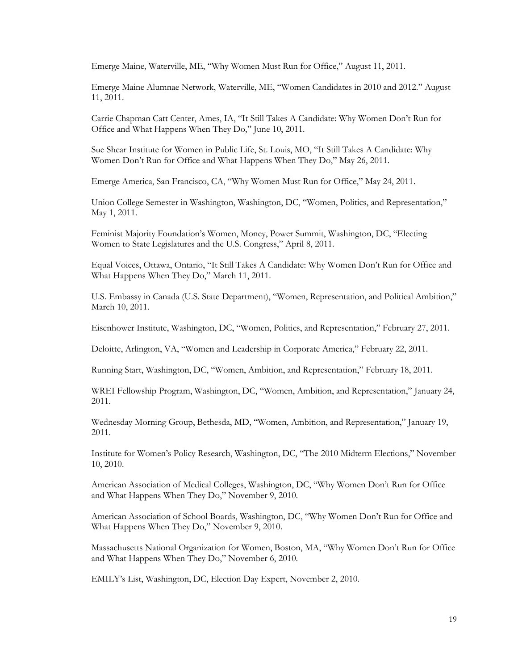Emerge Maine, Waterville, ME, "Why Women Must Run for Office," August 11, 2011.

Emerge Maine Alumnae Network, Waterville, ME, "Women Candidates in 2010 and 2012." August 11, 2011.

Carrie Chapman Catt Center, Ames, IA, "It Still Takes A Candidate: Why Women Don't Run for Office and What Happens When They Do," June 10, 2011.

Sue Shear Institute for Women in Public Life, St. Louis, MO, "It Still Takes A Candidate: Why Women Don't Run for Office and What Happens When They Do," May 26, 2011.

Emerge America, San Francisco, CA, "Why Women Must Run for Office," May 24, 2011.

Union College Semester in Washington, Washington, DC, "Women, Politics, and Representation," May 1, 2011.

Feminist Majority Foundation's Women, Money, Power Summit, Washington, DC, "Electing Women to State Legislatures and the U.S. Congress," April 8, 2011.

Equal Voices, Ottawa, Ontario, "It Still Takes A Candidate: Why Women Don't Run for Office and What Happens When They Do," March 11, 2011.

U.S. Embassy in Canada (U.S. State Department), "Women, Representation, and Political Ambition," March 10, 2011.

Eisenhower Institute, Washington, DC, "Women, Politics, and Representation," February 27, 2011.

Deloitte, Arlington, VA, "Women and Leadership in Corporate America," February 22, 2011.

Running Start, Washington, DC, "Women, Ambition, and Representation," February 18, 2011.

WREI Fellowship Program, Washington, DC, "Women, Ambition, and Representation," January 24, 2011.

Wednesday Morning Group, Bethesda, MD, "Women, Ambition, and Representation," January 19, 2011.

Institute for Women's Policy Research, Washington, DC, "The 2010 Midterm Elections," November 10, 2010.

American Association of Medical Colleges, Washington, DC, "Why Women Don't Run for Office and What Happens When They Do," November 9, 2010.

American Association of School Boards, Washington, DC, "Why Women Don't Run for Office and What Happens When They Do," November 9, 2010.

Massachusetts National Organization for Women, Boston, MA, "Why Women Don't Run for Office and What Happens When They Do," November 6, 2010.

EMILY's List, Washington, DC, Election Day Expert, November 2, 2010.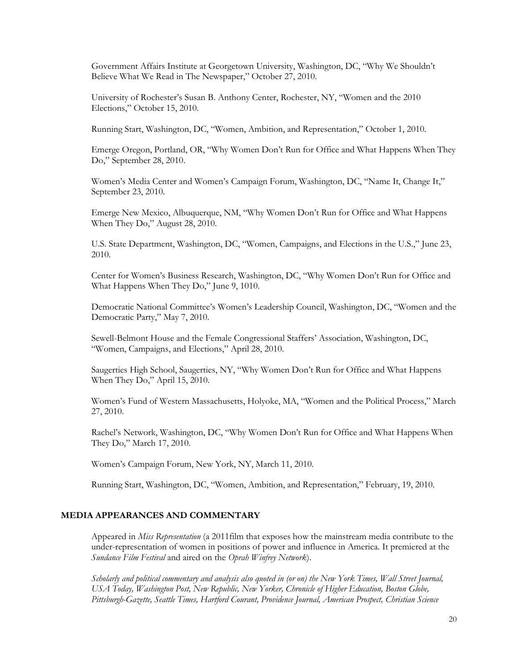Government Affairs Institute at Georgetown University, Washington, DC, "Why We Shouldn't Believe What We Read in The Newspaper," October 27, 2010.

University of Rochester's Susan B. Anthony Center, Rochester, NY, "Women and the 2010 Elections," October 15, 2010.

Running Start, Washington, DC, "Women, Ambition, and Representation," October 1, 2010.

Emerge Oregon, Portland, OR, "Why Women Don't Run for Office and What Happens When They Do," September 28, 2010.

Women's Media Center and Women's Campaign Forum, Washington, DC, "Name It, Change It," September 23, 2010.

Emerge New Mexico, Albuquerque, NM, "Why Women Don't Run for Office and What Happens When They Do," August 28, 2010.

U.S. State Department, Washington, DC, "Women, Campaigns, and Elections in the U.S.," June 23, 2010.

Center for Women's Business Research, Washington, DC, "Why Women Don't Run for Office and What Happens When They Do," June 9, 1010.

Democratic National Committee's Women's Leadership Council, Washington, DC, "Women and the Democratic Party," May 7, 2010.

Sewell-Belmont House and the Female Congressional Staffers' Association, Washington, DC, "Women, Campaigns, and Elections," April 28, 2010.

Saugerties High School, Saugerties, NY, "Why Women Don't Run for Office and What Happens When They Do," April 15, 2010.

Women's Fund of Western Massachusetts, Holyoke, MA, "Women and the Political Process," March 27, 2010.

Rachel's Network, Washington, DC, "Why Women Don't Run for Office and What Happens When They Do," March 17, 2010.

Women's Campaign Forum, New York, NY, March 11, 2010.

Running Start, Washington, DC, "Women, Ambition, and Representation," February, 19, 2010.

# **MEDIA APPEARANCES AND COMMENTARY**

Appeared in *Miss Representation* (a 2011film that exposes how the mainstream media contribute to the under-representation of women in positions of power and influence in America. It premiered at the *Sundance Film Festival* and aired on the *Oprah Winfrey Network*).

*Scholarly and political commentary and analysis also quoted in (or on) the New York Times, Wall Street Journal, USA Today, Washington Post, New Republic, New Yorker, Chronicle of Higher Education, Boston Globe, Pittsburgh-Gazette, Seattle Times, Hartford Courant, Providence Journal, American Prospect, Christian Science*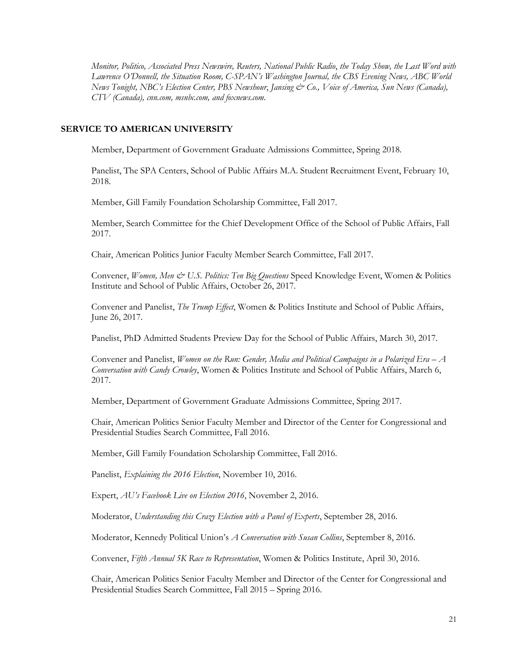*Monitor, Politico, Associated Press Newswire, Reuters, National Public Radio*, *the Today Show, the Last Word with Lawrence O'Donnell, the Situation Room, C-SPAN's Washington Journal, the CBS Evening News, ABC World News Tonight, NBC's Election Center, PBS Newshour*, *Jansing & Co., Voice of America, Sun News (Canada), CTV (Canada), cnn.com, msnbc.com, and foxnews.com.*

#### **SERVICE TO AMERICAN UNIVERSITY**

Member, Department of Government Graduate Admissions Committee, Spring 2018.

Panelist, The SPA Centers, School of Public Affairs M.A. Student Recruitment Event, February 10, 2018.

Member, Gill Family Foundation Scholarship Committee, Fall 2017.

Member, Search Committee for the Chief Development Office of the School of Public Affairs, Fall 2017.

Chair, American Politics Junior Faculty Member Search Committee, Fall 2017.

Convener, *Women, Men & U.S. Politics: Ten Big Questions* Speed Knowledge Event, Women & Politics Institute and School of Public Affairs, October 26, 2017.

Convener and Panelist, *The Trump Effect*, Women & Politics Institute and School of Public Affairs, June 26, 2017.

Panelist, PhD Admitted Students Preview Day for the School of Public Affairs, March 30, 2017.

Convener and Panelist, *Women on the Run: Gender, Media and Political Campaigns in a Polarized Era – A Conversation with Candy Crowley*, Women & Politics Institute and School of Public Affairs, March 6, 2017.

Member, Department of Government Graduate Admissions Committee, Spring 2017.

Chair, American Politics Senior Faculty Member and Director of the Center for Congressional and Presidential Studies Search Committee, Fall 2016.

Member, Gill Family Foundation Scholarship Committee, Fall 2016.

Panelist, *Explaining the 2016 Election*, November 10, 2016.

Expert, *AU's Facebook Live on Election 2016*, November 2, 2016.

Moderator, *Understanding this Crazy Election with a Panel of Experts*, September 28, 2016.

Moderator, Kennedy Political Union's *A Conversation with Susan Collins*, September 8, 2016.

Convener, *Fifth Annual 5K Race to Representation*, Women & Politics Institute, April 30, 2016.

Chair, American Politics Senior Faculty Member and Director of the Center for Congressional and Presidential Studies Search Committee, Fall 2015 – Spring 2016.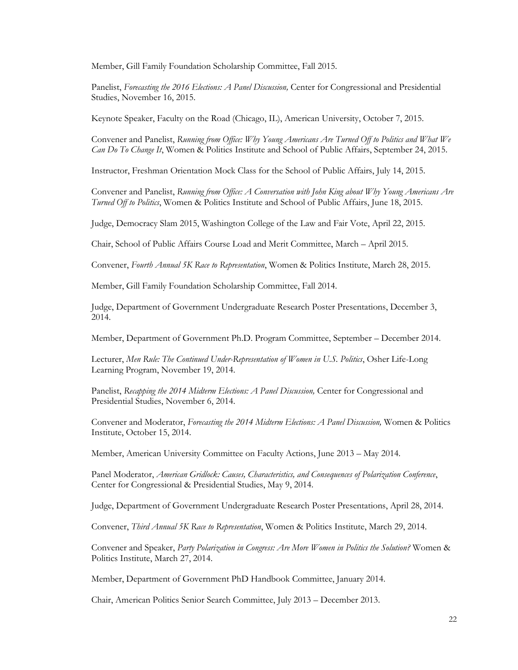Member, Gill Family Foundation Scholarship Committee, Fall 2015.

Panelist, *Forecasting the 2016 Elections: A Panel Discussion,* Center for Congressional and Presidential Studies, November 16, 2015.

Keynote Speaker, Faculty on the Road (Chicago, IL), American University, October 7, 2015.

Convener and Panelist, *Running from Office: Why Young Americans Are Turned Off to Politics and What We Can Do To Change It*, Women & Politics Institute and School of Public Affairs, September 24, 2015.

Instructor, Freshman Orientation Mock Class for the School of Public Affairs, July 14, 2015.

Convener and Panelist, *Running from Office: A Conversation with John King about Why Young Americans Are Turned Off to Politics*, Women & Politics Institute and School of Public Affairs, June 18, 2015.

Judge, Democracy Slam 2015, Washington College of the Law and Fair Vote, April 22, 2015.

Chair, School of Public Affairs Course Load and Merit Committee, March – April 2015.

Convener, *Fourth Annual 5K Race to Representation*, Women & Politics Institute, March 28, 2015.

Member, Gill Family Foundation Scholarship Committee, Fall 2014.

Judge, Department of Government Undergraduate Research Poster Presentations, December 3, 2014.

Member, Department of Government Ph.D. Program Committee, September – December 2014.

Lecturer, *Men Rule: The Continued Under-Representation of Women in U.S. Politics*, Osher Life-Long Learning Program, November 19, 2014.

Panelist, *Recapping the 2014 Midterm Elections: A Panel Discussion*, Center for Congressional and Presidential Studies, November 6, 2014.

Convener and Moderator, *Forecasting the 2014 Midterm Elections: A Panel Discussion,* Women & Politics Institute, October 15, 2014.

Member, American University Committee on Faculty Actions, June 2013 – May 2014.

Panel Moderator, *American Gridlock: Causes, Characteristics, and Consequences of Polarization Conference*, Center for Congressional & Presidential Studies, May 9, 2014.

Judge, Department of Government Undergraduate Research Poster Presentations, April 28, 2014.

Convener, *Third Annual 5K Race to Representation*, Women & Politics Institute, March 29, 2014.

Convener and Speaker, *Party Polarization in Congress: Are More Women in Politics the Solution?* Women & Politics Institute, March 27, 2014.

Member, Department of Government PhD Handbook Committee, January 2014.

Chair, American Politics Senior Search Committee, July 2013 – December 2013.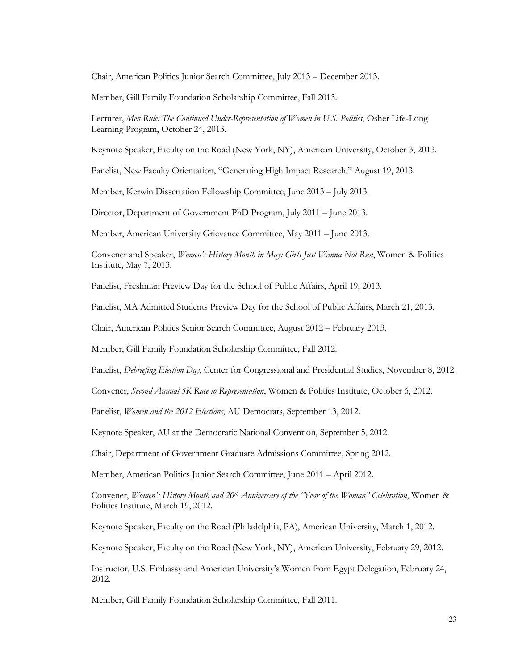Chair, American Politics Junior Search Committee, July 2013 – December 2013.

Member, Gill Family Foundation Scholarship Committee, Fall 2013.

Lecturer, *Men Rule: The Continued Under-Representation of Women in U.S. Politics*, Osher Life-Long Learning Program, October 24, 2013.

Keynote Speaker, Faculty on the Road (New York, NY), American University, October 3, 2013.

Panelist, New Faculty Orientation, "Generating High Impact Research," August 19, 2013.

Member, Kerwin Dissertation Fellowship Committee, June 2013 – July 2013.

Director, Department of Government PhD Program, July 2011 – June 2013.

Member, American University Grievance Committee, May 2011 – June 2013.

Convener and Speaker, *Women's History Month in May: Girls Just Wanna Not Run*, Women & Politics Institute, May 7, 2013.

Panelist, Freshman Preview Day for the School of Public Affairs, April 19, 2013.

Panelist, MA Admitted Students Preview Day for the School of Public Affairs, March 21, 2013.

Chair, American Politics Senior Search Committee, August 2012 – February 2013.

Member, Gill Family Foundation Scholarship Committee, Fall 2012.

Panelist, *Debriefing Election Day*, Center for Congressional and Presidential Studies, November 8, 2012.

Convener, *Second Annual 5K Race to Representation*, Women & Politics Institute, October 6, 2012.

Panelist, *Women and the 2012 Elections*, AU Democrats, September 13, 2012.

Keynote Speaker, AU at the Democratic National Convention, September 5, 2012.

Chair, Department of Government Graduate Admissions Committee, Spring 2012.

Member, American Politics Junior Search Committee, June 2011 – April 2012.

Convener, *Women's History Month and 20th Anniversary of the "Year of the Woman" Celebration*, Women & Politics Institute, March 19, 2012.

Keynote Speaker, Faculty on the Road (Philadelphia, PA), American University, March 1, 2012.

Keynote Speaker, Faculty on the Road (New York, NY), American University, February 29, 2012.

Instructor, U.S. Embassy and American University's Women from Egypt Delegation, February 24, 2012.

Member, Gill Family Foundation Scholarship Committee, Fall 2011.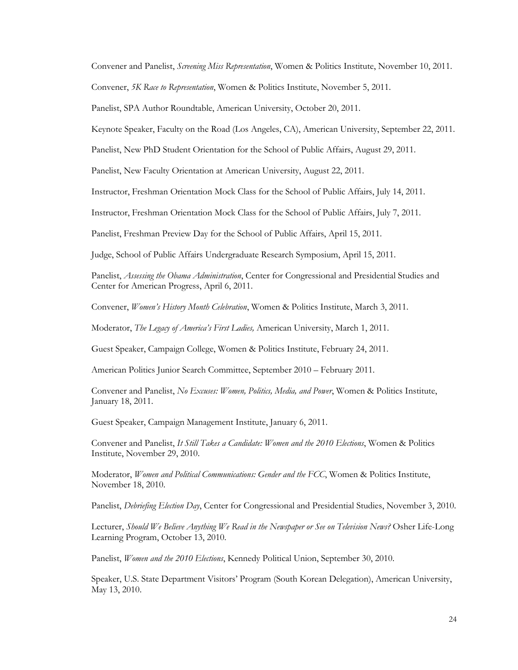Convener and Panelist, *Screening Miss Representation*, Women & Politics Institute, November 10, 2011.

Convener, *5K Race to Representation*, Women & Politics Institute, November 5, 2011.

Panelist, SPA Author Roundtable, American University, October 20, 2011.

Keynote Speaker, Faculty on the Road (Los Angeles, CA), American University, September 22, 2011.

Panelist, New PhD Student Orientation for the School of Public Affairs, August 29, 2011.

Panelist, New Faculty Orientation at American University, August 22, 2011.

Instructor, Freshman Orientation Mock Class for the School of Public Affairs, July 14, 2011.

Instructor, Freshman Orientation Mock Class for the School of Public Affairs, July 7, 2011.

Panelist, Freshman Preview Day for the School of Public Affairs, April 15, 2011.

Judge, School of Public Affairs Undergraduate Research Symposium, April 15, 2011.

Panelist, *Assessing the Obama Administration*, Center for Congressional and Presidential Studies and Center for American Progress, April 6, 2011.

Convener, *Women's History Month Celebration*, Women & Politics Institute, March 3, 2011.

Moderator, *The Legacy of America's First Ladies,* American University, March 1, 2011.

Guest Speaker, Campaign College, Women & Politics Institute, February 24, 2011.

American Politics Junior Search Committee, September 2010 – February 2011.

Convener and Panelist, *No Excuses: Women, Politics, Media, and Power*, Women & Politics Institute, January 18, 2011.

Guest Speaker, Campaign Management Institute, January 6, 2011.

Convener and Panelist, *It Still Takes a Candidate: Women and the 2010 Elections*, Women & Politics Institute, November 29, 2010.

Moderator, *Women and Political Communications: Gender and the FCC*, Women & Politics Institute, November 18, 2010.

Panelist, *Debriefing Election Day*, Center for Congressional and Presidential Studies, November 3, 2010.

Lecturer, *Should We Believe Anything We Read in the Newspaper or See on Television News?* Osher Life-Long Learning Program, October 13, 2010.

Panelist, *Women and the 2010 Elections*, Kennedy Political Union, September 30, 2010.

Speaker, U.S. State Department Visitors' Program (South Korean Delegation), American University, May 13, 2010.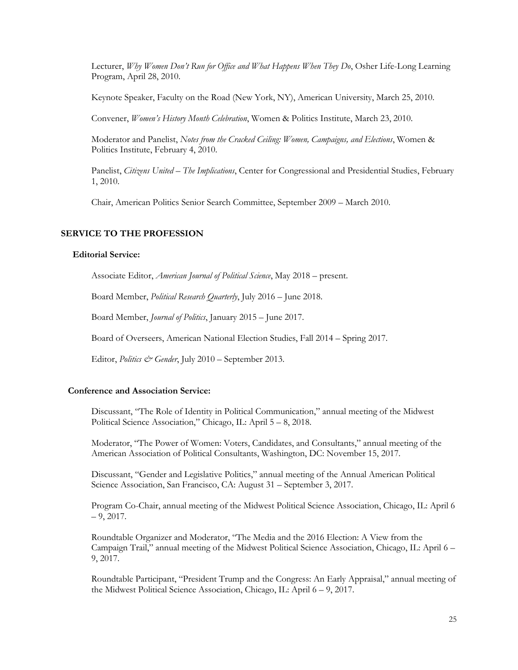Lecturer, *Why Women Don't Run for Office and What Happens When They Do*, Osher Life-Long Learning Program, April 28, 2010.

Keynote Speaker, Faculty on the Road (New York, NY), American University, March 25, 2010.

Convener, *Women's History Month Celebration*, Women & Politics Institute, March 23, 2010.

Moderator and Panelist, *Notes from the Cracked Ceiling: Women, Campaigns, and Elections*, Women & Politics Institute, February 4, 2010.

Panelist, *Citizens United – The Implications*, Center for Congressional and Presidential Studies, February 1, 2010.

Chair, American Politics Senior Search Committee, September 2009 – March 2010.

### **SERVICE TO THE PROFESSION**

#### **Editorial Service:**

Associate Editor, *American Journal of Political Science*, May 2018 – present.

Board Member, *Political Research Quarterly*, July 2016 – June 2018.

Board Member, *Journal of Politics*, January 2015 – June 2017.

Board of Overseers, American National Election Studies, Fall 2014 – Spring 2017.

Editor, *Politics & Gender*, July 2010 – September 2013.

#### **Conference and Association Service:**

Discussant, "The Role of Identity in Political Communication," annual meeting of the Midwest Political Science Association," Chicago, IL: April 5 – 8, 2018.

Moderator, "The Power of Women: Voters, Candidates, and Consultants," annual meeting of the American Association of Political Consultants, Washington, DC: November 15, 2017.

Discussant, "Gender and Legislative Politics," annual meeting of the Annual American Political Science Association, San Francisco, CA: August 31 – September 3, 2017.

Program Co-Chair, annual meeting of the Midwest Political Science Association, Chicago, IL: April 6  $-9, 2017.$ 

Roundtable Organizer and Moderator, "The Media and the 2016 Election: A View from the Campaign Trail," annual meeting of the Midwest Political Science Association, Chicago, IL: April 6 – 9, 2017.

Roundtable Participant, "President Trump and the Congress: An Early Appraisal," annual meeting of the Midwest Political Science Association, Chicago, IL: April 6 – 9, 2017.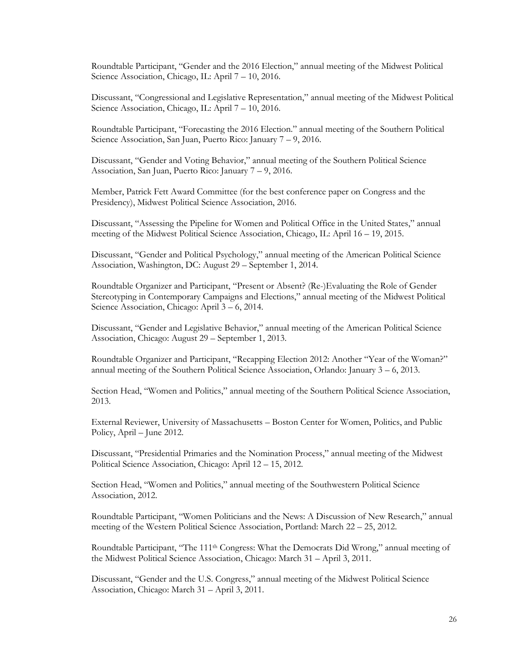Roundtable Participant, "Gender and the 2016 Election," annual meeting of the Midwest Political Science Association, Chicago, IL: April 7 – 10, 2016.

Discussant, "Congressional and Legislative Representation," annual meeting of the Midwest Political Science Association, Chicago, IL: April 7 – 10, 2016.

Roundtable Participant, "Forecasting the 2016 Election." annual meeting of the Southern Political Science Association, San Juan, Puerto Rico: January 7 – 9, 2016.

Discussant, "Gender and Voting Behavior," annual meeting of the Southern Political Science Association, San Juan, Puerto Rico: January 7 – 9, 2016.

Member, Patrick Fett Award Committee (for the best conference paper on Congress and the Presidency), Midwest Political Science Association, 2016.

Discussant, "Assessing the Pipeline for Women and Political Office in the United States," annual meeting of the Midwest Political Science Association, Chicago, IL: April 16 – 19, 2015.

Discussant, "Gender and Political Psychology," annual meeting of the American Political Science Association, Washington, DC: August 29 – September 1, 2014.

Roundtable Organizer and Participant, "Present or Absent? (Re-)Evaluating the Role of Gender Stereotyping in Contemporary Campaigns and Elections," annual meeting of the Midwest Political Science Association, Chicago: April 3 – 6, 2014.

Discussant, "Gender and Legislative Behavior," annual meeting of the American Political Science Association, Chicago: August 29 – September 1, 2013.

Roundtable Organizer and Participant, "Recapping Election 2012: Another "Year of the Woman?" annual meeting of the Southern Political Science Association, Orlando: January 3 – 6, 2013.

Section Head, "Women and Politics," annual meeting of the Southern Political Science Association, 2013.

External Reviewer, University of Massachusetts – Boston Center for Women, Politics, and Public Policy, April – June 2012.

Discussant, "Presidential Primaries and the Nomination Process," annual meeting of the Midwest Political Science Association, Chicago: April 12 – 15, 2012.

Section Head, "Women and Politics," annual meeting of the Southwestern Political Science Association, 2012.

Roundtable Participant, "Women Politicians and the News: A Discussion of New Research," annual meeting of the Western Political Science Association, Portland: March 22 – 25, 2012.

Roundtable Participant, "The 111th Congress: What the Democrats Did Wrong," annual meeting of the Midwest Political Science Association, Chicago: March 31 – April 3, 2011.

Discussant, "Gender and the U.S. Congress," annual meeting of the Midwest Political Science Association, Chicago: March 31 – April 3, 2011.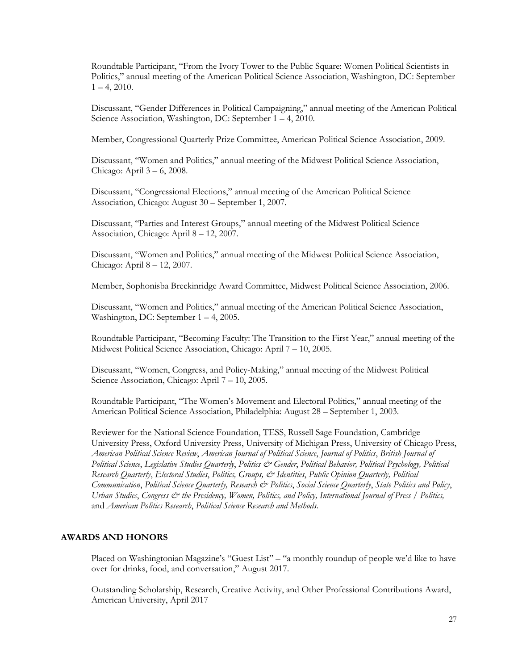Roundtable Participant, "From the Ivory Tower to the Public Square: Women Political Scientists in Politics," annual meeting of the American Political Science Association, Washington, DC: September  $1 - 4$ , 2010.

Discussant, "Gender Differences in Political Campaigning," annual meeting of the American Political Science Association, Washington, DC: September 1 – 4, 2010.

Member, Congressional Quarterly Prize Committee, American Political Science Association, 2009.

Discussant, "Women and Politics," annual meeting of the Midwest Political Science Association, Chicago: April 3 – 6, 2008.

Discussant, "Congressional Elections," annual meeting of the American Political Science Association, Chicago: August 30 – September 1, 2007.

Discussant, "Parties and Interest Groups," annual meeting of the Midwest Political Science Association, Chicago: April 8 – 12, 2007.

Discussant, "Women and Politics," annual meeting of the Midwest Political Science Association, Chicago: April 8 – 12, 2007.

Member, Sophonisba Breckinridge Award Committee, Midwest Political Science Association, 2006.

Discussant, "Women and Politics," annual meeting of the American Political Science Association, Washington, DC: September 1 – 4, 2005.

Roundtable Participant, "Becoming Faculty: The Transition to the First Year," annual meeting of the Midwest Political Science Association, Chicago: April 7 – 10, 2005.

Discussant, "Women, Congress, and Policy-Making," annual meeting of the Midwest Political Science Association, Chicago: April 7 – 10, 2005.

Roundtable Participant, "The Women's Movement and Electoral Politics," annual meeting of the American Political Science Association, Philadelphia: August 28 – September 1, 2003.

Reviewer for the National Science Foundation, TESS, Russell Sage Foundation, Cambridge University Press, Oxford University Press, University of Michigan Press, University of Chicago Press, *American Political Science Review*, *American Journal of Political Science*, *Journal of Politics*, *British Journal of Political Science*, *Legislative Studies Quarterly*, *Politics & Gender*, *Political Behavior, Political Psychology, Political Research Quarterly*, *Electoral Studies*, *Politics, Groups, & Identities*, *Public Opinion Quarterly, Political Communication*, *Political Science Quarterly, Research & Politics*, *Social Science Quarterly*, *State Politics and Policy*, *Urban Studies*, *Congress & the Presidency, Women, Politics, and Policy, International Journal of Press / Politics,* and *American Politics Research*, *Political Science Research and Methods*.

# **AWARDS AND HONORS**

Placed on Washingtonian Magazine's "Guest List" – "a monthly roundup of people we'd like to have over for drinks, food, and conversation," August 2017.

Outstanding Scholarship, Research, Creative Activity, and Other Professional Contributions Award, American University, April 2017